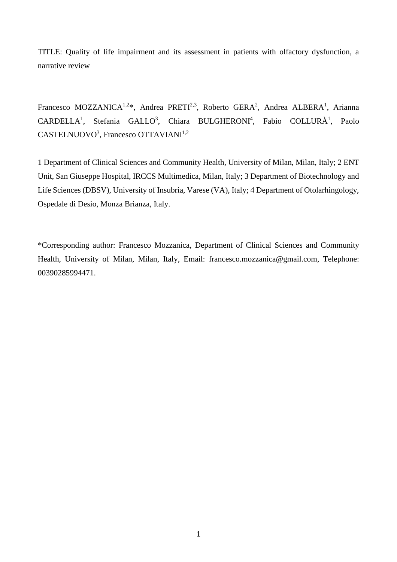TITLE: Quality of life impairment and its assessment in patients with olfactory dysfunction, a narrative review

Francesco MOZZANICA<sup>1,2\*</sup>, Andrea PRETI<sup>2,3</sup>, Roberto GERA<sup>2</sup>, Andrea ALBERA<sup>1</sup>, Arianna  $CARDELLA<sup>1</sup>$ , Stefania GALLO<sup>3</sup>, Chiara BULGHERONI<sup>4</sup>, Fabio COLLURÀ<sup>1</sup>, Paolo CASTELNUOVO<sup>3</sup>, Francesco OTTAVIANI<sup>1,2</sup>

1 Department of Clinical Sciences and Community Health, University of Milan, Milan, Italy; 2 ENT Unit, San Giuseppe Hospital, IRCCS Multimedica, Milan, Italy; 3 Department of Biotechnology and Life Sciences (DBSV), University of Insubria, Varese (VA), Italy; 4 Department of Otolarhingology, Ospedale di Desio, Monza Brianza, Italy.

\*Corresponding author: Francesco Mozzanica, Department of Clinical Sciences and Community Health, University of Milan, Milan, Italy, Email: francesco.mozzanica@gmail.com, Telephone: 00390285994471.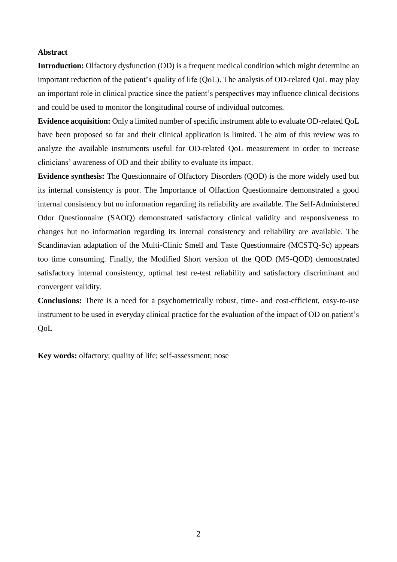### **Abstract**

**Introduction:** Olfactory dysfunction (OD) is a frequent medical condition which might determine an important reduction of the patient's quality of life (QoL). The analysis of OD-related QoL may play an important role in clinical practice since the patient's perspectives may influence clinical decisions and could be used to monitor the longitudinal course of individual outcomes.

**Evidence acquisition:** Only a limited number of specific instrument able to evaluate OD-related QoL have been proposed so far and their clinical application is limited. The aim of this review was to analyze the available instruments useful for OD-related QoL measurement in order to increase clinicians' awareness of OD and their ability to evaluate its impact.

**Evidence synthesis:** The Questionnaire of Olfactory Disorders (QOD) is the more widely used but its internal consistency is poor. The Importance of Olfaction Questionnaire demonstrated a good internal consistency but no information regarding its reliability are available. The Self-Administered Odor Questionnaire (SAOQ) demonstrated satisfactory clinical validity and responsiveness to changes but no information regarding its internal consistency and reliability are available. The Scandinavian adaptation of the Multi-Clinic Smell and Taste Questionnaire (MCSTQ-Sc) appears too time consuming. Finally, the Modified Short version of the QOD (MS-QOD) demonstrated satisfactory internal consistency, optimal test re-test reliability and satisfactory discriminant and convergent validity.

**Conclusions:** There is a need for a psychometrically robust, time- and cost-efficient, easy-to-use instrument to be used in everyday clinical practice for the evaluation of the impact of OD on patient's QoL

**Key words:** olfactory; quality of life; self-assessment; nose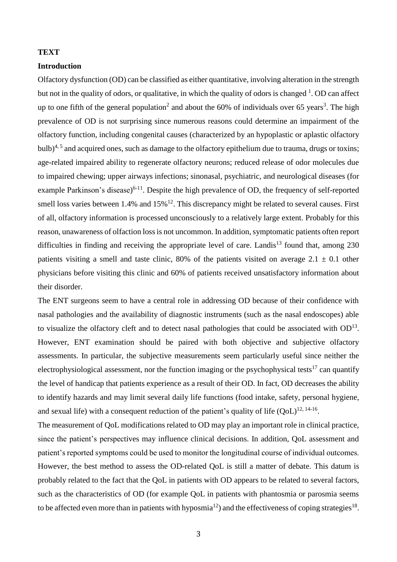# **TEXT**

### **Introduction**

Olfactory dysfunction (OD) can be classified as either quantitative, involving alteration in the strength but not in the quality of odors, or qualitative, in which the quality of odors is changed  $^1$ . OD can affect up to one fifth of the general population<sup>2</sup> and about the 60% of individuals over 65 years<sup>3</sup>. The high prevalence of OD is not surprising since numerous reasons could determine an impairment of the olfactory function, including congenital causes (characterized by an hypoplastic or aplastic olfactory bulb)<sup>4, 5</sup> and acquired ones, such as damage to the olfactory epithelium due to trauma, drugs or toxins; age-related impaired ability to regenerate olfactory neurons; reduced release of odor molecules due to impaired chewing; upper airways infections; sinonasal, psychiatric, and neurological diseases (for example Parkinson's disease)<sup>6-11</sup>. Despite the high prevalence of OD, the frequency of self-reported smell loss varies between 1.4% and  $15\%$ <sup>12</sup>. This discrepancy might be related to several causes. First of all, olfactory information is processed unconsciously to a relatively large extent. Probably for this reason, unawareness of olfaction loss is not uncommon. In addition, symptomatic patients often report difficulties in finding and receiving the appropriate level of care. Landis<sup>13</sup> found that, among  $230$ patients visiting a smell and taste clinic, 80% of the patients visited on average  $2.1 \pm 0.1$  other physicians before visiting this clinic and 60% of patients received unsatisfactory information about their disorder.

The ENT surgeons seem to have a central role in addressing OD because of their confidence with nasal pathologies and the availability of diagnostic instruments (such as the nasal endoscopes) able to visualize the olfactory cleft and to detect nasal pathologies that could be associated with  $OD<sup>13</sup>$ . However, ENT examination should be paired with both objective and subjective olfactory assessments. In particular, the subjective measurements seem particularly useful since neither the electrophysiological assessment, nor the function imaging or the psychophysical tests<sup>17</sup> can quantify the level of handicap that patients experience as a result of their OD. In fact, OD decreases the ability to identify hazards and may limit several daily life functions (food intake, safety, personal hygiene, and sexual life) with a consequent reduction of the patient's quality of life  $(QoL)^{12, 14-16}$ .

The measurement of QoL modifications related to OD may play an important role in clinical practice, since the patient's perspectives may influence clinical decisions. In addition, QoL assessment and patient's reported symptoms could be used to monitor the longitudinal course of individual outcomes. However, the best method to assess the OD-related QoL is still a matter of debate. This datum is probably related to the fact that the QoL in patients with OD appears to be related to several factors, such as the characteristics of OD (for example QoL in patients with phantosmia or parosmia seems to be affected even more than in patients with hyposmia<sup>12</sup>) and the effectiveness of coping strategies<sup>18</sup>.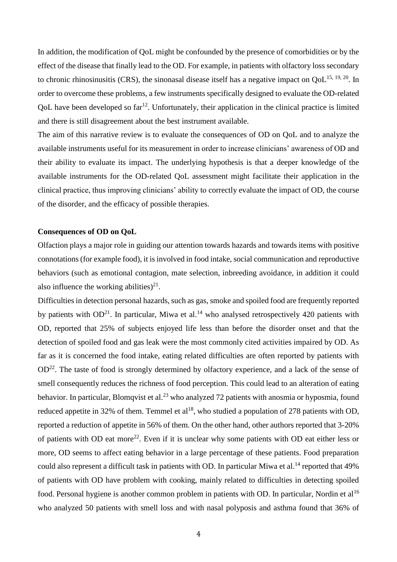In addition, the modification of QoL might be confounded by the presence of comorbidities or by the effect of the disease that finally lead to the OD. For example, in patients with olfactory loss secondary to chronic rhinosinusitis (CRS), the sinonasal disease itself has a negative impact on  $QoL^{15, 19, 20}$ . In order to overcome these problems, a few instruments specifically designed to evaluate the OD-related  $QoL$  have been developed so far<sup>12</sup>. Unfortunately, their application in the clinical practice is limited and there is still disagreement about the best instrument available.

The aim of this narrative review is to evaluate the consequences of OD on QoL and to analyze the available instruments useful for its measurement in order to increase clinicians' awareness of OD and their ability to evaluate its impact. The underlying hypothesis is that a deeper knowledge of the available instruments for the OD-related QoL assessment might facilitate their application in the clinical practice, thus improving clinicians' ability to correctly evaluate the impact of OD, the course of the disorder, and the efficacy of possible therapies.

#### **Consequences of OD on QoL**

Olfaction plays a major role in guiding our attention towards hazards and towards items with positive connotations (for example food), it is involved in food intake, social communication and reproductive behaviors (such as emotional contagion, mate selection, inbreeding avoidance, in addition it could also influence the working abilities) $^{21}$ .

Difficulties in detection personal hazards, such as gas, smoke and spoiled food are frequently reported by patients with  $OD<sup>21</sup>$ . In particular, Miwa et al.<sup>14</sup> who analysed retrospectively 420 patients with OD, reported that 25% of subjects enjoyed life less than before the disorder onset and that the detection of spoiled food and gas leak were the most commonly cited activities impaired by OD. As far as it is concerned the food intake, eating related difficulties are often reported by patients with  $OD<sup>22</sup>$ . The taste of food is strongly determined by olfactory experience, and a lack of the sense of smell consequently reduces the richness of food perception. This could lead to an alteration of eating behavior. In particular, Blomqvist et al.<sup>23</sup> who analyzed 72 patients with anosmia or hyposmia, found reduced appetite in 32% of them. Temmel et  $al^{18}$ , who studied a population of 278 patients with OD, reported a reduction of appetite in 56% of them. On the other hand, other authors reported that 3-20% of patients with OD eat more<sup>22</sup>. Even if it is unclear why some patients with OD eat either less or more, OD seems to affect eating behavior in a large percentage of these patients. Food preparation could also represent a difficult task in patients with OD. In particular Miwa et al.<sup>14</sup> reported that  $49\%$ of patients with OD have problem with cooking, mainly related to difficulties in detecting spoiled food. Personal hygiene is another common problem in patients with OD. In particular, Nordin et al<sup>16</sup> who analyzed 50 patients with smell loss and with nasal polyposis and asthma found that 36% of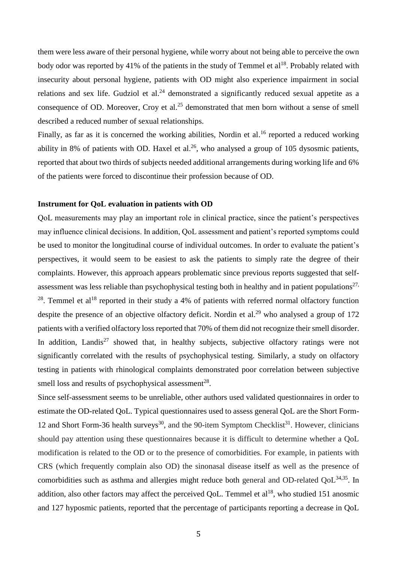them were less aware of their personal hygiene, while worry about not being able to perceive the own body odor was reported by 41% of the patients in the study of Temmel et al<sup>18</sup>. Probably related with insecurity about personal hygiene, patients with OD might also experience impairment in social relations and sex life. Gudziol et al.<sup>24</sup> demonstrated a significantly reduced sexual appetite as a consequence of OD. Moreover, Croy et al.<sup>25</sup> demonstrated that men born without a sense of smell described a reduced number of sexual relationships.

Finally, as far as it is concerned the working abilities, Nordin et al.<sup>16</sup> reported a reduced working ability in 8% of patients with OD. Haxel et al.<sup>26</sup>, who analysed a group of 105 dysosmic patients, reported that about two thirds of subjects needed additional arrangements during working life and 6% of the patients were forced to discontinue their profession because of OD.

### **Instrument for QoL evaluation in patients with OD**

QoL measurements may play an important role in clinical practice, since the patient's perspectives may influence clinical decisions. In addition, QoL assessment and patient's reported symptoms could be used to monitor the longitudinal course of individual outcomes. In order to evaluate the patient's perspectives, it would seem to be easiest to ask the patients to simply rate the degree of their complaints. However, this approach appears problematic since previous reports suggested that selfassessment was less reliable than psychophysical testing both in healthy and in patient populations<sup>27,</sup>  $2<sup>28</sup>$ . Temmel et al<sup>18</sup> reported in their study a 4% of patients with referred normal olfactory function despite the presence of an objective olfactory deficit. Nordin et al.<sup>29</sup> who analysed a group of 172 patients with a verified olfactory loss reported that 70% of them did not recognize their smell disorder. In addition, Landis<sup>27</sup> showed that, in healthy subjects, subjective olfactory ratings were not significantly correlated with the results of psychophysical testing. Similarly, a study on olfactory testing in patients with rhinological complaints demonstrated poor correlation between subjective smell loss and results of psychophysical assessment<sup>28</sup>.

Since self-assessment seems to be unreliable, other authors used validated questionnaires in order to estimate the OD-related QoL. Typical questionnaires used to assess general QoL are the Short Form-12 and Short Form-36 health surveys<sup>30</sup>, and the 90-item Symptom Checklist<sup>31</sup>. However, clinicians should pay attention using these questionnaires because it is difficult to determine whether a QoL modification is related to the OD or to the presence of comorbidities. For example, in patients with CRS (which frequently complain also OD) the sinonasal disease itself as well as the presence of comorbidities such as asthma and allergies might reduce both general and OD-related  $QoL^{34,35}$ . In addition, also other factors may affect the perceived QoL. Temmel et  $al^{18}$ , who studied 151 anosmic and 127 hyposmic patients, reported that the percentage of participants reporting a decrease in QoL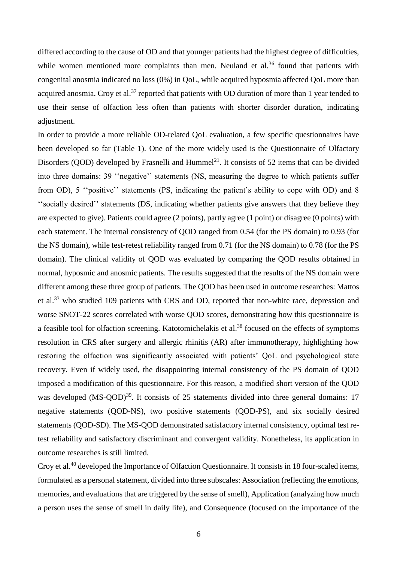differed according to the cause of OD and that younger patients had the highest degree of difficulties, while women mentioned more complaints than men. Neuland et al.<sup>36</sup> found that patients with congenital anosmia indicated no loss (0%) in QoL, while acquired hyposmia affected QoL more than acquired anosmia. Croy et al.<sup>37</sup> reported that patients with OD duration of more than 1 year tended to use their sense of olfaction less often than patients with shorter disorder duration, indicating adjustment.

In order to provide a more reliable OD-related QoL evaluation, a few specific questionnaires have been developed so far (Table 1). One of the more widely used is the Questionnaire of Olfactory Disorders (QOD) developed by Frasnelli and Hummel<sup>21</sup>. It consists of 52 items that can be divided into three domains: 39 ''negative'' statements (NS, measuring the degree to which patients suffer from OD), 5 ''positive'' statements (PS, indicating the patient's ability to cope with OD) and 8 ''socially desired'' statements (DS, indicating whether patients give answers that they believe they are expected to give). Patients could agree (2 points), partly agree (1 point) or disagree (0 points) with each statement. The internal consistency of QOD ranged from 0.54 (for the PS domain) to 0.93 (for the NS domain), while test-retest reliability ranged from 0.71 (for the NS domain) to 0.78 (for the PS domain). The clinical validity of QOD was evaluated by comparing the QOD results obtained in normal, hyposmic and anosmic patients. The results suggested that the results of the NS domain were different among these three group of patients. The QOD has been used in outcome researches: Mattos et al.<sup>33</sup> who studied 109 patients with CRS and OD, reported that non-white race, depression and worse SNOT-22 scores correlated with worse QOD scores, demonstrating how this questionnaire is a feasible tool for olfaction screening. Katotomichelakis et al.<sup>38</sup> focused on the effects of symptoms resolution in CRS after surgery and allergic rhinitis (AR) after immunotherapy, highlighting how restoring the olfaction was significantly associated with patients' QoL and psychological state recovery. Even if widely used, the disappointing internal consistency of the PS domain of QOD imposed a modification of this questionnaire. For this reason, a modified short version of the QOD was developed  $(MS-QOD)^{39}$ . It consists of 25 statements divided into three general domains: 17 negative statements (QOD-NS), two positive statements (QOD-PS), and six socially desired statements (QOD-SD). The MS-QOD demonstrated satisfactory internal consistency, optimal test retest reliability and satisfactory discriminant and convergent validity. Nonetheless, its application in outcome researches is still limited.

Croy et al.<sup>40</sup> developed the Importance of Olfaction Questionnaire. It consists in 18 four-scaled items, formulated as a personal statement, divided into three subscales: Association (reflecting the emotions, memories, and evaluations that are triggered by the sense of smell), Application (analyzing how much a person uses the sense of smell in daily life), and Consequence (focused on the importance of the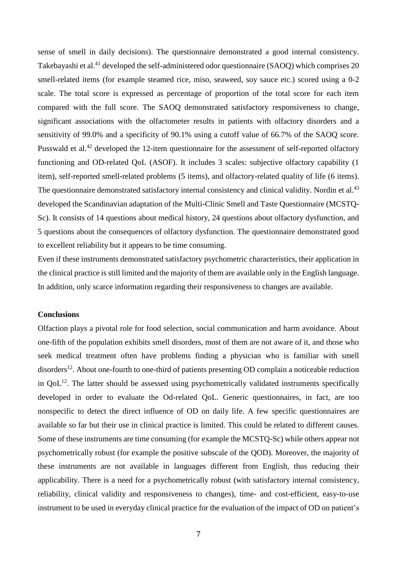sense of smell in daily decisions). The questionnaire demonstrated a good internal consistency. Takebayashi et al.<sup>41</sup> developed the self-administered odor questionnaire (SAOQ) which comprises 20 smell-related items (for example steamed rice, miso, seaweed, soy sauce etc.) scored using a 0-2 scale. The total score is expressed as percentage of proportion of the total score for each item compared with the full score. The SAOQ demonstrated satisfactory responsiveness to change, significant associations with the olfactometer results in patients with olfactory disorders and a sensitivity of 99.0% and a specificity of 90.1% using a cutoff value of 66.7% of the SAOQ score. Pusswald et al.<sup>42</sup> developed the 12-item questionnaire for the assessment of self-reported olfactory functioning and OD-related QoL (ASOF). It includes 3 scales: subjective olfactory capability (1 item), self-reported smell-related problems (5 items), and olfactory-related quality of life (6 items). The questionnaire demonstrated satisfactory internal consistency and clinical validity. Nordin et al.<sup>43</sup> developed the Scandinavian adaptation of the Multi-Clinic Smell and Taste Questionnaire (MCSTQ-Sc). It consists of 14 questions about medical history, 24 questions about olfactory dysfunction, and 5 questions about the consequences of olfactory dysfunction. The questionnaire demonstrated good to excellent reliability but it appears to be time consuming.

Even if these instruments demonstrated satisfactory psychometric characteristics, their application in the clinical practice is still limited and the majority of them are available only in the English language. In addition, only scarce information regarding their responsiveness to changes are available.

### **Conclusions**

Olfaction plays a pivotal role for food selection, social communication and harm avoidance. About one-fifth of the population exhibits smell disorders, most of them are not aware of it, and those who seek medical treatment often have problems finding a physician who is familiar with smell disorders<sup>12</sup>. About one-fourth to one-third of patients presenting OD complain a noticeable reduction in  $QoL^{12}$ . The latter should be assessed using psychometrically validated instruments specifically developed in order to evaluate the Od-related QoL. Generic questionnaires, in fact, are too nonspecific to detect the direct influence of OD on daily life. A few specific questionnaires are available so far but their use in clinical practice is limited. This could be related to different causes. Some of these instruments are time consuming (for example the MCSTQ-Sc) while others appear not psychometrically robust (for example the positive subscale of the QOD). Moreover, the majority of these instruments are not available in languages different from English, thus reducing their applicability. There is a need for a psychometrically robust (with satisfactory internal consistency, reliability, clinical validity and responsiveness to changes), time- and cost-efficient, easy-to-use instrument to be used in everyday clinical practice for the evaluation of the impact of OD on patient's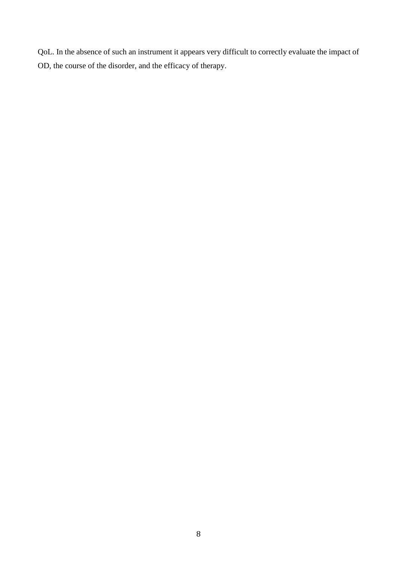QoL. In the absence of such an instrument it appears very difficult to correctly evaluate the impact of OD, the course of the disorder, and the efficacy of therapy.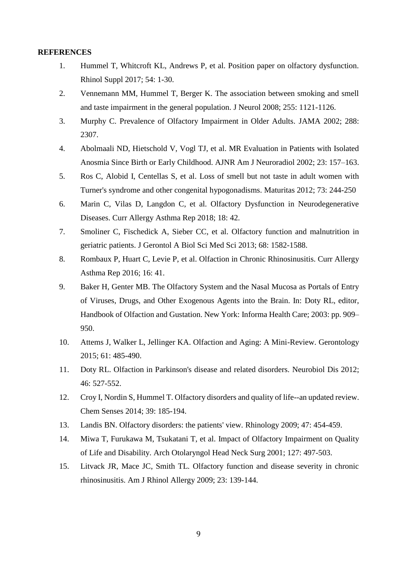## **REFERENCES**

- 1. Hummel T, Whitcroft KL, Andrews P, et al. Position paper on olfactory dysfunction. Rhinol Suppl 2017; 54: 1-30.
- 2. Vennemann MM, Hummel T, Berger K. The association between smoking and smell and taste impairment in the general population. J Neurol 2008; 255: 1121-1126.
- 3. Murphy C. Prevalence of Olfactory Impairment in Older Adults. JAMA 2002; 288: 2307.
- 4. Abolmaali ND, Hietschold V, Vogl TJ, et al. MR Evaluation in Patients with Isolated Anosmia Since Birth or Early Childhood. AJNR Am J Neuroradiol 2002; 23: 157–163.
- 5. Ros C, Alobid I, Centellas S, et al. Loss of smell but not taste in adult women with Turner's syndrome and other congenital hypogonadisms. Maturitas 2012; 73: 244-250
- 6. Marin C, Vilas D, Langdon C, et al. Olfactory Dysfunction in Neurodegenerative Diseases. Curr Allergy Asthma Rep 2018; 18: 42.
- 7. Smoliner C, Fischedick A, Sieber CC, et al. Olfactory function and malnutrition in geriatric patients. J Gerontol A Biol Sci Med Sci 2013; 68: 1582-1588.
- 8. Rombaux P, Huart C, Levie P, et al. Olfaction in Chronic Rhinosinusitis. Curr Allergy Asthma Rep 2016; 16: 41.
- 9. Baker H, Genter MB. The Olfactory System and the Nasal Mucosa as Portals of Entry of Viruses, Drugs, and Other Exogenous Agents into the Brain. In: Doty RL, editor, Handbook of Olfaction and Gustation. New York: Informa Health Care; 2003: pp. 909– 950.
- 10. Attems J, Walker L, Jellinger KA. Olfaction and Aging: A Mini-Review. Gerontology 2015; 61: 485-490.
- 11. Doty RL. Olfaction in Parkinson's disease and related disorders. Neurobiol Dis 2012; 46: 527-552.
- 12. Croy I, Nordin S, Hummel T. Olfactory disorders and quality of life--an updated review. Chem Senses 2014; 39: 185-194.
- 13. Landis BN. Olfactory disorders: the patients' view. Rhinology 2009; 47: 454-459.
- 14. Miwa T, Furukawa M, Tsukatani T, et al. Impact of Olfactory Impairment on Quality of Life and Disability. Arch Otolaryngol Head Neck Surg 2001; 127: 497-503.
- 15. Litvack JR, Mace JC, Smith TL. Olfactory function and disease severity in chronic rhinosinusitis. Am J Rhinol Allergy 2009; 23: 139-144.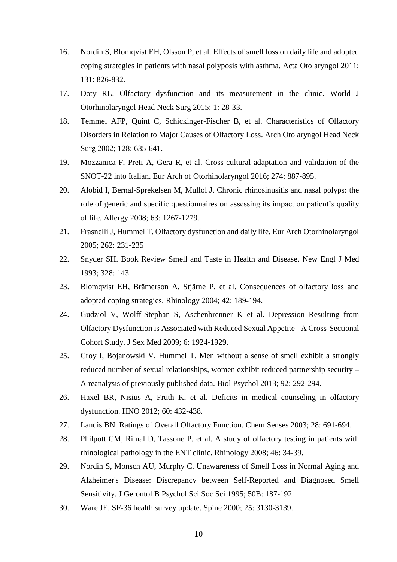- 16. Nordin S, Blomqvist EH, Olsson P, et al. Effects of smell loss on daily life and adopted coping strategies in patients with nasal polyposis with asthma. Acta Otolaryngol 2011; 131: 826-832.
- 17. Doty RL. Olfactory dysfunction and its measurement in the clinic. World J Otorhinolaryngol Head Neck Surg 2015; 1: 28-33.
- 18. Temmel AFP, Quint C, Schickinger-Fischer B, et al. Characteristics of Olfactory Disorders in Relation to Major Causes of Olfactory Loss. Arch Otolaryngol Head Neck Surg 2002; 128: 635-641.
- 19. Mozzanica F, Preti A, Gera R, et al. Cross-cultural adaptation and validation of the SNOT-22 into Italian. Eur Arch of Otorhinolaryngol 2016; 274: 887-895.
- 20. Alobid I, Bernal-Sprekelsen M, Mullol J. Chronic rhinosinusitis and nasal polyps: the role of generic and specific questionnaires on assessing its impact on patient's quality of life. Allergy 2008; 63: 1267-1279.
- 21. Frasnelli J, Hummel T. Olfactory dysfunction and daily life. Eur Arch Otorhinolaryngol 2005; 262: 231-235
- 22. Snyder SH. Book Review Smell and Taste in Health and Disease. New Engl J Med 1993; 328: 143.
- 23. Blomqvist EH, Brämerson A, Stjärne P, et al. Consequences of olfactory loss and adopted coping strategies. Rhinology 2004; 42: 189-194.
- 24. Gudziol V, Wolff-Stephan S, Aschenbrenner K et al. Depression Resulting from Olfactory Dysfunction is Associated with Reduced Sexual Appetite - A Cross-Sectional Cohort Study. J Sex Med 2009; 6: 1924-1929.
- 25. Croy I, Bojanowski V, Hummel T. Men without a sense of smell exhibit a strongly reduced number of sexual relationships, women exhibit reduced partnership security – A reanalysis of previously published data. Biol Psychol 2013; 92: 292-294.
- 26. Haxel BR, Nisius A, Fruth K, et al. Deficits in medical counseling in olfactory dysfunction. HNO 2012; 60: 432-438.
- 27. Landis BN. Ratings of Overall Olfactory Function. Chem Senses 2003; 28: 691-694.
- 28. Philpott CM, Rimal D, Tassone P, et al. A study of olfactory testing in patients with rhinological pathology in the ENT clinic. Rhinology 2008; 46: 34-39.
- 29. Nordin S, Monsch AU, Murphy C. Unawareness of Smell Loss in Normal Aging and Alzheimer's Disease: Discrepancy between Self-Reported and Diagnosed Smell Sensitivity. J Gerontol B Psychol Sci Soc Sci 1995; 50B: 187-192.
- 30. Ware JE. SF-36 health survey update. Spine 2000; 25: 3130-3139.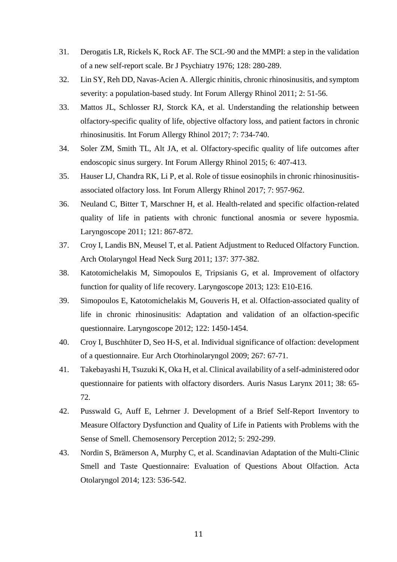- 31. Derogatis LR, Rickels K, Rock AF. The SCL-90 and the MMPI: a step in the validation of a new self-report scale. Br J Psychiatry 1976; 128: 280-289.
- 32. Lin SY, Reh DD, Navas-Acien A. Allergic rhinitis, chronic rhinosinusitis, and symptom severity: a population-based study. Int Forum Allergy Rhinol 2011; 2: 51-56.
- 33. Mattos JL, Schlosser RJ, Storck KA, et al. Understanding the relationship between olfactory-specific quality of life, objective olfactory loss, and patient factors in chronic rhinosinusitis. Int Forum Allergy Rhinol 2017; 7: 734-740.
- 34. Soler ZM, Smith TL, Alt JA, et al. Olfactory-specific quality of life outcomes after endoscopic sinus surgery. Int Forum Allergy Rhinol 2015; 6: 407-413.
- 35. Hauser LJ, Chandra RK, Li P, et al. Role of tissue eosinophils in chronic rhinosinusitisassociated olfactory loss. Int Forum Allergy Rhinol 2017; 7: 957-962.
- 36. Neuland C, Bitter T, Marschner H, et al. Health-related and specific olfaction-related quality of life in patients with chronic functional anosmia or severe hyposmia. Laryngoscope 2011; 121: 867-872.
- 37. Croy I, Landis BN, Meusel T, et al. Patient Adjustment to Reduced Olfactory Function. Arch Otolaryngol Head Neck Surg 2011; 137: 377-382.
- 38. Katotomichelakis M, Simopoulos E, Tripsianis G, et al. Improvement of olfactory function for quality of life recovery. Laryngoscope 2013; 123: E10-E16.
- 39. Simopoulos E, Katotomichelakis M, Gouveris H, et al. Olfaction-associated quality of life in chronic rhinosinusitis: Adaptation and validation of an olfaction-specific questionnaire. Laryngoscope 2012; 122: 1450-1454.
- 40. Croy I, Buschhüter D, Seo H-S, et al. Individual significance of olfaction: development of a questionnaire. Eur Arch Otorhinolaryngol 2009; 267: 67-71.
- 41. Takebayashi H, Tsuzuki K, Oka H, et al. Clinical availability of a self-administered odor questionnaire for patients with olfactory disorders. Auris Nasus Larynx 2011; 38: 65- 72.
- 42. Pusswald G, Auff E, Lehrner J. Development of a Brief Self-Report Inventory to Measure Olfactory Dysfunction and Quality of Life in Patients with Problems with the Sense of Smell. Chemosensory Perception 2012; 5: 292-299.
- 43. Nordin S, Brämerson A, Murphy C, et al. Scandinavian Adaptation of the Multi-Clinic Smell and Taste Questionnaire: Evaluation of Questions About Olfaction. Acta Otolaryngol 2014; 123: 536-542.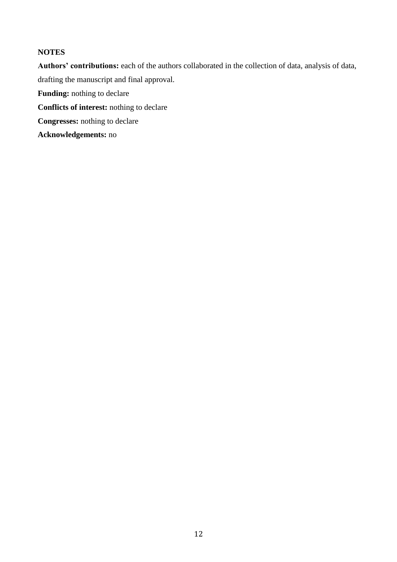# **NOTES**

**Authors' contributions:** each of the authors collaborated in the collection of data, analysis of data, drafting the manuscript and final approval.

**Funding:** nothing to declare

**Conflicts of interest:** nothing to declare

**Congresses:** nothing to declare

**Acknowledgements:** no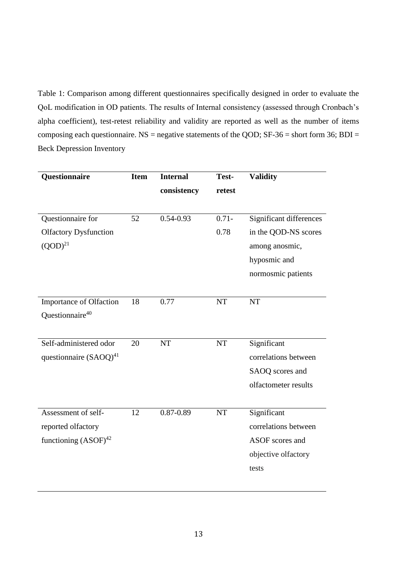Table 1: Comparison among different questionnaires specifically designed in order to evaluate the QoL modification in OD patients. The results of Internal consistency (assessed through Cronbach's alpha coefficient), test-retest reliability and validity are reported as well as the number of items composing each questionnaire. NS = negative statements of the QOD;  $SF-36$  = short form 36;  $BDI =$ Beck Depression Inventory

| Questionnaire                | <b>Item</b> | <b>Internal</b> | Test-     | <b>Validity</b>         |
|------------------------------|-------------|-----------------|-----------|-------------------------|
|                              |             | consistency     | retest    |                         |
|                              |             |                 |           |                         |
| Questionnaire for            | 52          | $0.54 - 0.93$   | $0.71 -$  | Significant differences |
| <b>Olfactory Dysfunction</b> |             |                 | 0.78      | in the QOD-NS scores    |
| $(QOD)^{21}$                 |             |                 |           | among anosmic,          |
|                              |             |                 |           | hyposmic and            |
|                              |             |                 |           | normosmic patients      |
|                              |             |                 |           |                         |
| Importance of Olfaction      | 18          | 0.77            | <b>NT</b> | <b>NT</b>               |
| Questionnaire <sup>40</sup>  |             |                 |           |                         |
|                              |             |                 |           |                         |
| Self-administered odor       | 20          | NT              | NT        | Significant             |
| questionnaire $(SAOQ)^{41}$  |             |                 |           | correlations between    |
|                              |             |                 |           | SAOQ scores and         |
|                              |             |                 |           | olfactometer results    |
|                              |             |                 |           |                         |
| Assessment of self-          | 12          | $0.87 - 0.89$   | <b>NT</b> | Significant             |
| reported olfactory           |             |                 |           | correlations between    |
| functioning $(ASOF)^{42}$    |             |                 |           | ASOF scores and         |
|                              |             |                 |           | objective olfactory     |
|                              |             |                 |           | tests                   |
|                              |             |                 |           |                         |